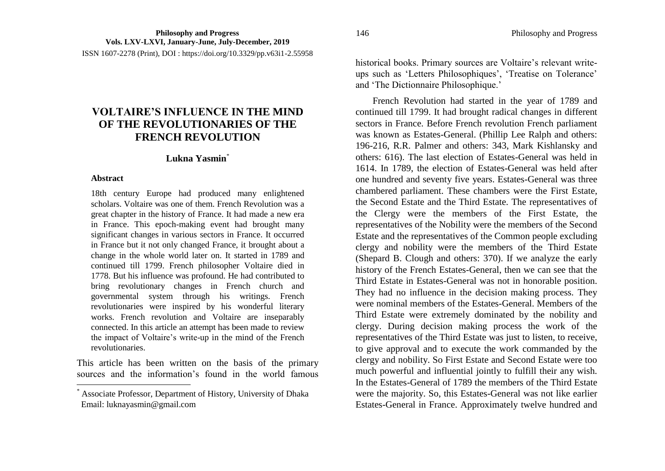ISSN 1607-2278 (Print), DOI : https://doi.org/10.3329/pp.v63i1-2.55958

## **VOLTAIRE'S INFLUENCE IN THE MIND OF THE REVOLUTIONARIES OF THE FRENCH REVOLUTION**

## **Lukna Yasmin**\*

## **Abstract**

 $\overline{a}$ 

18th century Europe had produced many enlightened scholars. Voltaire was one of them. French Revolution was a great chapter in the history of France. It had made a new era in France. This epoch-making event had brought many significant changes in various sectors in France. It occurred in France but it not only changed France, it brought about a change in the whole world later on. It started in 1789 and continued till 1799. French philosopher Voltaire died in 1778. But his influence was profound. He had contributed to bring revolutionary changes in French church and governmental system through his writings. French revolutionaries were inspired by his wonderful literary works. French revolution and Voltaire are inseparably connected. In this article an attempt has been made to review the impact of Voltaire's write-up in the mind of the French revolutionaries.

This article has been written on the basis of the primary sources and the information's found in the world famous historical books. Primary sources are Voltaire's relevant writeups such as 'Letters Philosophiques', 'Treatise on Tolerance' and 'The Dictionnaire Philosophique.'

French Revolution had started in the year of 1789 and continued till 1799. It had brought radical changes in different sectors in France. Before French revolution French parliament was known as Estates-General. (Phillip Lee Ralph and others: 196-216, R.R. Palmer and others: 343, Mark Kishlansky and others: 616). The last election of Estates-General was held in 1614. In 1789, the election of Estates-General was held after one hundred and seventy five years. Estates-General was three chambered parliament. These chambers were the First Estate, the Second Estate and the Third Estate. The representatives of the Clergy were the members of the First Estate, the representatives of the Nobility were the members of the Second Estate and the representatives of the Common people excluding clergy and nobility were the members of the Third Estate (Shepard B. Clough and others: 370). If we analyze the early history of the French Estates-General, then we can see that the Third Estate in Estates-General was not in honorable position. They had no influence in the decision making process. They were nominal members of the Estates-General. Members of the Third Estate were extremely dominated by the nobility and clergy. During decision making process the work of the representatives of the Third Estate was just to listen, to receive, to give approval and to execute the work commanded by the clergy and nobility. So First Estate and Second Estate were too much powerful and influential jointly to fulfill their any wish. In the Estates-General of 1789 the members of the Third Estate were the majority. So, this Estates-General was not like earlier Estates-General in France. Approximately twelve hundred and

<sup>\*</sup> Associate Professor, Department of History, University of Dhaka Email: luknayasmin@gmail.com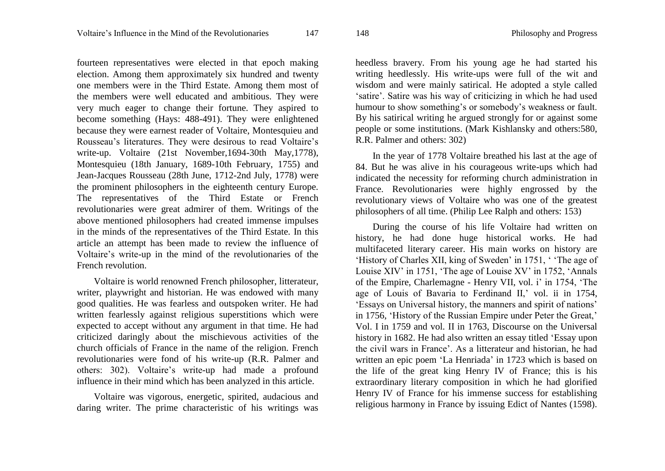fourteen representatives were elected in that epoch making election. Among them approximately six hundred and twenty one members were in the Third Estate. Among them most of the members were well educated and ambitious. They were very much eager to change their fortune. They aspired to become something (Hays: 488-491). They were enlightened because they were earnest reader of Voltaire, Montesquieu and Rousseau's literatures. They were desirous to read Voltaire's write-up. Voltaire (21st November,1694-30th May,1778), Montesquieu (18th January, 1689-10th February, 1755) and Jean-Jacques Rousseau (28th June, 1712-2nd July, 1778) were the prominent philosophers in the eighteenth century Europe. The representatives of the Third Estate or French revolutionaries were great admirer of them. Writings of the above mentioned philosophers had created immense impulses in the minds of the representatives of the Third Estate. In this article an attempt has been made to review the influence of Voltaire's write-up in the mind of the revolutionaries of the French revolution.

Voltaire is world renowned French philosopher, litterateur, writer, playwright and historian. He was endowed with many good qualities. He was fearless and outspoken writer. He had written fearlessly against religious superstitions which were expected to accept without any argument in that time. He had criticized daringly about the mischievous activities of the church officials of France in the name of the religion. French revolutionaries were fond of his write-up (R.R. Palmer and others: 302). Voltaire's write-up had made a profound influence in their mind which has been analyzed in this article.

Voltaire was vigorous, energetic, spirited, audacious and daring writer. The prime characteristic of his writings was heedless bravery. From his young age he had started his writing heedlessly. His write-ups were full of the wit and wisdom and were mainly satirical. He adopted a style called 'satire'. Satire was his way of criticizing in which he had used humour to show something's or somebody's weakness or fault. By his satirical writing he argued strongly for or against some people or some institutions. (Mark Kishlansky and others:580, R.R. Palmer and others: 302)

In the year of 1778 Voltaire breathed his last at the age of 84. But he was alive in his courageous write-ups which had indicated the necessity for reforming church administration in France. Revolutionaries were highly engrossed by the revolutionary views of Voltaire who was one of the greatest philosophers of all time. (Philip Lee Ralph and others: 153)

During the course of his life Voltaire had written on history, he had done huge historical works. He had multifaceted literary career. His main works on history are 'History of Charles XII, king of Sweden' in 1751, ' 'The age of Louise XIV' in 1751, 'The age of Louise XV' in 1752, 'Annals of the Empire, Charlemagne - Henry VII, vol. i' in 1754, 'The age of Louis of Bavaria to Ferdinand II,' vol. ii in 1754, 'Essays on Universal history, the manners and spirit of nations' in 1756, 'History of the Russian Empire under Peter the Great,' Vol. I in 1759 and vol. II in 1763, Discourse on the Universal history in 1682. He had also written an essay titled 'Essay upon the civil wars in France'. As a litterateur and historian, he had written an epic poem 'La Henriada' in 1723 which is based on the life of the great king Henry IV of France; this is his extraordinary literary composition in which he had glorified Henry IV of France for his immense success for establishing religious harmony in France by issuing Edict of Nantes (1598).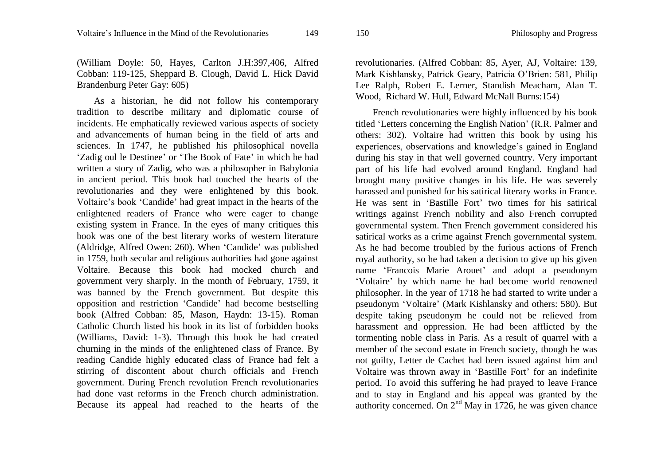(William Doyle: 50, Hayes, Carlton J.H:397,406, Alfred Cobban: 119-125, Sheppard B. Clough, David L. Hick David Brandenburg Peter Gay: 605)

As a historian, he did not follow his contemporary tradition to describe military and diplomatic course of incidents. He emphatically reviewed various aspects of society and advancements of human being in the field of arts and sciences. In 1747, he published his philosophical novella 'Zadig oul le Destinee' or 'The Book of Fate' in which he had written a story of Zadig, who was a philosopher in Babylonia in ancient period. This book had touched the hearts of the revolutionaries and they were enlightened by this book. Voltaire's book 'Candide' had great impact in the hearts of the enlightened readers of France who were eager to change existing system in France. In the eyes of many critiques this book was one of the best literary works of western literature (Aldridge, Alfred Owen: 260). When 'Candide' was published in 1759, both secular and religious authorities had gone against Voltaire. Because this book had mocked church and government very sharply. In the month of February, 1759, it was banned by the French government. But despite this opposition and restriction 'Candide' had become bestselling book (Alfred Cobban: 85, Mason, Haydn: 13-15). Roman Catholic Church listed his book in its list of forbidden books (Williams, David: 1-3). Through this book he had created churning in the minds of the enlightened class of France. By reading Candide highly educated class of France had felt a stirring of discontent about church officials and French government. During French revolution French revolutionaries had done vast reforms in the French church administration. Because its appeal had reached to the hearts of the

revolutionaries. (Alfred Cobban: 85, Ayer, AJ, Voltaire: 139, Mark Kishlansky, Patrick Geary, Patricia O'Brien: 581, [Philip](https://www.google.com.bd/search?tbo=p&tbm=bks&q=inauthor:%22Philip+Lee+Ralph%22&source=gbs_metadata_r&cad=2)  [Lee Ralph,](https://www.google.com.bd/search?tbo=p&tbm=bks&q=inauthor:%22Philip+Lee+Ralph%22&source=gbs_metadata_r&cad=2) [Robert E. Lerner,](https://www.google.com.bd/search?tbo=p&tbm=bks&q=inauthor:%22Robert+E.+Lerner%22&source=gbs_metadata_r&cad=2) [Standish Meacham,](https://www.google.com.bd/search?tbo=p&tbm=bks&q=inauthor:%22Standish+Meacham%22&source=gbs_metadata_r&cad=2) Alan T. Wood, Richard W. Hull, Edward McNall Burns:154)

French revolutionaries were highly influenced by his book titled 'Letters concerning the English Nation' (R.R. Palmer and others: 302). Voltaire had written this book by using his experiences, observations and knowledge's gained in England during his stay in that well governed country. Very important part of his life had evolved around England. England had brought many positive changes in his life. He was severely harassed and punished for his satirical literary works in France. He was sent in 'Bastille Fort' two times for his satirical writings against French nobility and also French corrupted governmental system. Then French government considered his satirical works as a crime against French governmental system. As he had become troubled by the furious actions of French royal authority, so he had taken a decision to give up his given name 'Francois Marie Arouet' and adopt a pseudonym 'Voltaire' by which name he had become world renowned philosopher. In the year of 1718 he had started to write under a pseudonym 'Voltaire' (Mark Kishlansky and others: 580). But despite taking pseudonym he could not be relieved from harassment and oppression. He had been afflicted by the tormenting noble class in Paris. As a result of quarrel with a member of the second estate in French society, though he was not guilty, Letter de Cachet had been issued against him and Voltaire was thrown away in 'Bastille Fort' for an indefinite period. To avoid this suffering he had prayed to leave France and to stay in England and his appeal was granted by the authority concerned. On  $2<sup>nd</sup>$  May in 1726, he was given chance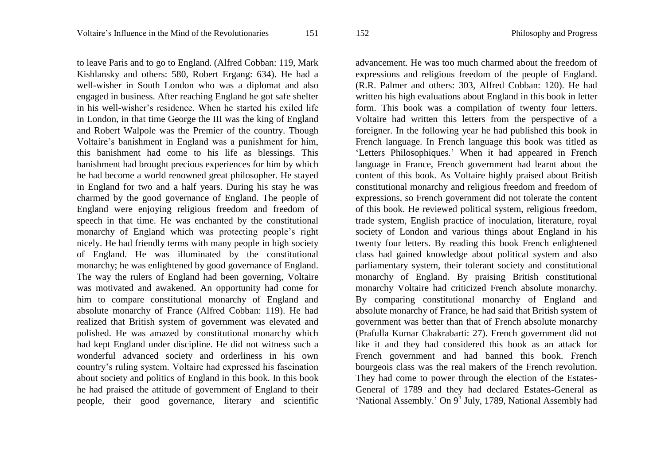to leave Paris and to go to England. (Alfred Cobban: 119, Mark Kishlansky and others: 580, Robert Ergang: 634). He had a well-wisher in South London who was a diplomat and also engaged in business. After reaching England he got safe shelter in his well-wisher's residence. When he started his exiled life in London, in that time George the III was the king of England and Robert Walpole was the Premier of the country. Though Voltaire's banishment in England was a punishment for him, this banishment had come to his life as blessings. This banishment had brought precious experiences for him by which he had become a world renowned great philosopher. He stayed in England for two and a half years. During his stay he was charmed by the good governance of England. The people of England were enjoying religious freedom and freedom of speech in that time. He was enchanted by the constitutional monarchy of England which was protecting people's right nicely. He had friendly terms with many people in high society of England. He was illuminated by the constitutional monarchy; he was enlightened by good governance of England. The way the rulers of England had been governing, Voltaire was motivated and awakened. An opportunity had come for him to compare constitutional monarchy of England and absolute monarchy of France (Alfred Cobban: 119). He had realized that British system of government was elevated and polished. He was amazed by constitutional monarchy which had kept England under discipline. He did not witness such a wonderful advanced society and orderliness in his own country's ruling system. Voltaire had expressed his fascination about society and politics of England in this book. In this book he had praised the attitude of government of England to their people, their good governance, literary and scientific advancement. He was too much charmed about the freedom of expressions and religious freedom of the people of England. (R.R. Palmer and others: 303, Alfred Cobban: 120). He had written his high evaluations about England in this book in letter form. This book was a compilation of twenty four letters. Voltaire had written this letters from the perspective of a foreigner. In the following year he had published this book in French language. In French language this book was titled as 'Letters Philosophiques.' When it had appeared in French language in France, French government had learnt about the content of this book. As Voltaire highly praised about British constitutional monarchy and religious freedom and freedom of expressions, so French government did not tolerate the content of this book. He reviewed political system, religious freedom, trade system, English practice of inoculation, literature, royal society of London and various things about England in his twenty four letters. By reading this book French enlightened class had gained knowledge about political system and also parliamentary system, their tolerant society and constitutional monarchy of England. By praising British constitutional monarchy Voltaire had criticized French absolute monarchy. By comparing constitutional monarchy of England and absolute monarchy of France, he had said that British system of government was better than that of French absolute monarchy (Prafulla Kumar Chakrabarti: 27). French government did not like it and they had considered this book as an attack for French government and had banned this book. French bourgeois class was the real makers of the French revolution. They had come to power through the election of the Estates-General of 1789 and they had declared Estates-General as 'National Assembly.' On 9<sup>h</sup> July, 1789, National Assembly had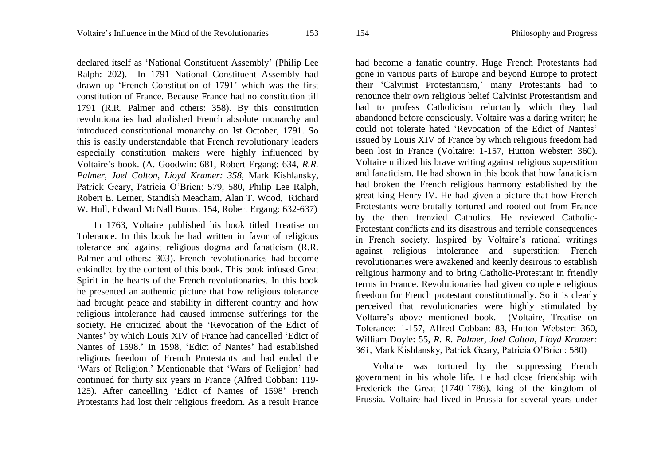declared itself as 'National Constituent Assembly' (Philip Lee Ralph: 202). In 1791 National Constituent Assembly had drawn up 'French Constitution of 1791' which was the first constitution of France. Because France had no constitution till 1791 (R.R. Palmer and others: 358). By this constitution revolutionaries had abolished French absolute monarchy and introduced constitutional monarchy on Ist October, 1791. So this is easily understandable that French revolutionary leaders especially constitution makers were highly influenced by Voltaire's book. (A. Goodwin: 681, Robert Ergang: 634, *R.R. Palmer, Joel Colton, Lioyd Kramer: 358,* Mark Kishlansky, Patrick Geary, Patricia O'Brien: 579, 580, [Philip Lee Ralph,](https://www.google.com.bd/search?tbo=p&tbm=bks&q=inauthor:%22Philip+Lee+Ralph%22&source=gbs_metadata_r&cad=2) [Robert E. Lerner,](https://www.google.com.bd/search?tbo=p&tbm=bks&q=inauthor:%22Robert+E.+Lerner%22&source=gbs_metadata_r&cad=2) [Standish Meacham,](https://www.google.com.bd/search?tbo=p&tbm=bks&q=inauthor:%22Standish+Meacham%22&source=gbs_metadata_r&cad=2) Alan T. Wood, Richard W. Hull, Edward McNall Burns: 154, Robert Ergang: 632-637)

In 1763, Voltaire published his book titled Treatise on Tolerance. In this book he had written in favor of religious tolerance and against religious dogma and fanaticism (R.R. Palmer and others: 303). French revolutionaries had become enkindled by the content of this book. This book infused Great Spirit in the hearts of the French revolutionaries. In this book he presented an authentic picture that how religious tolerance had brought peace and stability in different country and how religious intolerance had caused immense sufferings for the society. He criticized about the 'Revocation of the Edict of Nantes' by which Louis XIV of France had cancelled 'Edict of Nantes of 1598.' In 1598, 'Edict of Nantes' had established religious freedom of French Protestants and had ended the 'Wars of Religion.' Mentionable that 'Wars of Religion' had continued for thirty six years in France (Alfred Cobban: 119- 125). After cancelling 'Edict of Nantes of 1598' French Protestants had lost their religious freedom. As a result France

had become a fanatic country. Huge French Protestants had gone in various parts of Europe and beyond Europe to protect their 'Calvinist Protestantism,' many Protestants had to renounce their own religious belief Calvinist Protestantism and had to profess Catholicism reluctantly which they had abandoned before consciously. Voltaire was a daring writer; he could not tolerate hated 'Revocation of the Edict of Nantes' issued by Louis XIV of France by which religious freedom had been lost in France (Voltaire: 1-157, Hutton Webster: 360). Voltaire utilized his brave writing against religious superstition and fanaticism. He had shown in this book that how fanaticism had broken the French religious harmony established by the great king Henry IV. He had given a picture that how French Protestants were brutally tortured and rooted out from France by the then frenzied Catholics. He reviewed Catholic-Protestant conflicts and its disastrous and terrible consequences in French society. Inspired by Voltaire's rational writings against religious intolerance and superstition; French revolutionaries were awakened and keenly desirous to establish religious harmony and to bring Catholic-Protestant in friendly terms in France. Revolutionaries had given complete religious freedom for French protestant constitutionally. So it is clearly perceived that revolutionaries were highly stimulated by Voltaire's above mentioned book. (Voltaire, Treatise on Tolerance: 1-157, Alfred Cobban: 83, Hutton Webster: 360, William Doyle: 55, *R. R. Palmer, Joel Colton, Lioyd Kramer: 361,* Mark Kishlansky, Patrick Geary, Patricia O'Brien: 580)

Voltaire was tortured by the suppressing French government in his whole life. He had close friendship with Frederick the Great (1740-1786), king of the kingdom of Prussia. Voltaire had lived in Prussia for several years under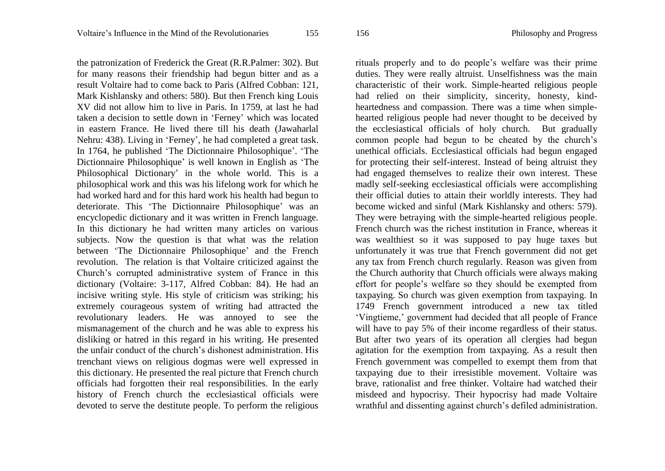the patronization of Frederick the Great (R.R.Palmer: 302). But for many reasons their friendship had begun bitter and as a result Voltaire had to come back to Paris (Alfred Cobban: 121, Mark Kishlansky and others: 580). But then French king Louis XV did not allow him to live in Paris. In 1759, at last he had taken a decision to settle down in 'Ferney' which was located

in eastern France. He lived there till his death (Jawaharlal Nehru: 438). Living in 'Ferney', he had completed a great task. In 1764, he published 'The Dictionnaire Philosophique'. 'The Dictionnaire Philosophique' is well known in English as 'The Philosophical Dictionary' in the whole world. This is a philosophical work and this was his lifelong work for which he had worked hard and for this hard work his health had begun to deteriorate. This 'The Dictionnaire Philosophique' was an encyclopedic dictionary and it was written in French language. In this dictionary he had written many articles on various subjects. Now the question is that what was the relation between 'The Dictionnaire Philosophique' and the French revolution. The relation is that Voltaire criticized against the Church's corrupted administrative system of France in this dictionary (Voltaire: 3-117, Alfred Cobban: 84). He had an incisive writing style. His style of criticism was striking; his extremely courageous system of writing had attracted the revolutionary leaders. He was annoyed to see the mismanagement of the church and he was able to express his disliking or hatred in this regard in his writing. He presented the unfair conduct of the church's dishonest administration. His trenchant views on religious dogmas were well expressed in this dictionary. He presented the real picture that French church officials had forgotten their real responsibilities. In the early history of French church the ecclesiastical officials were devoted to serve the destitute people. To perform the religious rituals properly and to do people's welfare was their prime duties. They were really altruist. Unselfishness was the main characteristic of their work. Simple-hearted religious people had relied on their simplicity, sincerity, honesty, kindheartedness and compassion. There was a time when simplehearted religious people had never thought to be deceived by the ecclesiastical officials of holy church. But gradually common people had begun to be cheated by the church's unethical officials. Ecclesiastical officials had begun engaged for protecting their self-interest. Instead of being altruist they had engaged themselves to realize their own interest. These madly self-seeking ecclesiastical officials were accomplishing their official duties to attain their worldly interests. They had become wicked and sinful (Mark Kishlansky and others: 579). They were betraying with the simple-hearted religious people. French church was the richest institution in France, whereas it was wealthiest so it was supposed to pay huge taxes but unfortunately it was true that French government did not get any tax from French church regularly. Reason was given from the Church authority that Church officials were always making effort for people's welfare so they should be exempted from taxpaying. So church was given exemption from taxpaying. In 1749 French government introduced a new tax titled 'Vingtieme,' government had decided that all people of France will have to pay 5% of their income regardless of their status. But after two years of its operation all clergies had begun agitation for the exemption from taxpaying. As a result then French government was compelled to exempt them from that taxpaying due to their irresistible movement. Voltaire was brave, rationalist and free thinker. Voltaire had watched their misdeed and hypocrisy. Their hypocrisy had made Voltaire wrathful and dissenting against church's defiled administration.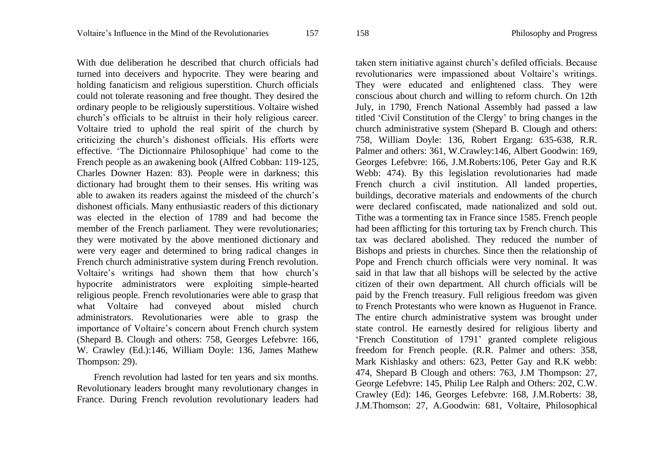With due deliberation he described that church officials had turned into deceivers and hypocrite. They were bearing and holding fanaticism and religious superstition. Church officials could not tolerate reasoning and free thought. They desired the ordinary people to be religiously superstitious. Voltaire wished church's officials to be altruist in their holy religious career. Voltaire tried to uphold the real spirit of the church by criticizing the church's dishonest officials. His efforts were effective. 'The Dictionnaire Philosophique' had come to the French people as an awakening book (Alfred Cobban: 119-125, Charles Downer Hazen: 83). People were in darkness; this dictionary had brought them to their senses. His writing was able to awaken its readers against the misdeed of the church's dishonest officials. Many enthusiastic readers of this dictionary was elected in the election of 1789 and had become the member of the French parliament. They were revolutionaries; they were motivated by the above mentioned dictionary and were very eager and determined to bring radical changes in French church administrative system during French revolution. Voltaire's writings had shown them that how church's hypocrite administrators were exploiting simple-hearted religious people. French revolutionaries were able to grasp that what Voltaire had conveyed about misled church administrators. Revolutionaries were able to grasp the importance of Voltaire's concern about French church system (Shepard B. Clough and others: 758, Georges Lefebvre: 166, W. Crawley (Ed.):146, William Doyle: 136, James Mathew Thompson: 29).

French revolution had lasted for ten years and six months. Revolutionary leaders brought many revolutionary changes in France. During French revolution revolutionary leaders had taken stern initiative against church's defiled officials. Because revolutionaries were impassioned about Voltaire's writings. They were educated and enlightened class. They were conscious about church and willing to reform church. On 12th July, in 1790, French National Assembly had passed a law titled 'Civil Constitution of the Clergy' to bring changes in the church administrative system (Shepard B. Clough and others: 758, William Doyle: 136, Robert Ergang: 635-638, R.R. Palmer and others: 361, W.Crawley:146, Albert Goodwin: 169, Georges Lefebvre: 166, J.M.Roberts:106, Peter Gay and R.K Webb: 474). By this legislation revolutionaries had made French church a civil institution. All landed properties, buildings, decorative materials and endowments of the church were declared confiscated, made nationalized and sold out. Tithe was a tormenting tax in France since 1585. French people had been afflicting for this torturing tax by French church. This tax was declared abolished. They reduced the number of Bishops and priests in churches. Since then the relationship of Pope and French church officials were very nominal. It was said in that law that all bishops will be selected by the active citizen of their own department. All church officials will be paid by the French treasury. Full religious freedom was given to French Protestants who were known as Huguenot in France. The entire church administrative system was brought under state control. He earnestly desired for religious liberty and 'French Constitution of 1791' granted complete religious freedom for French people. (R.R. Palmer and others: 358, Mark Kishlasky and others: 623, Petter Gay and R.K webb: 474, Shepard B Clough and others: 763, J.M Thompson: 27, George Lefebvre: 145, Philip Lee Ralph and Others: 202, C.W. Crawley (Ed): 146, Georges Lefebvre: 168, J.M.Roberts: 38, J.M.Thomson: 27, A.Goodwin: 681, Voltaire, Philosophical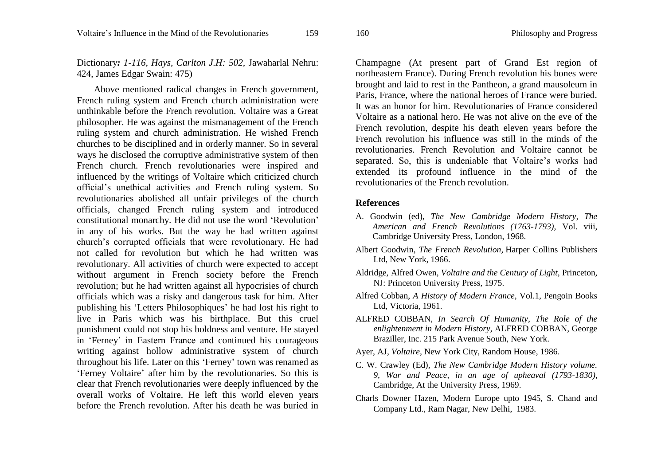Dictionary*: 1-116, Hays, Carlton J.H: 502,* Jawaharlal Nehru: 424, James Edgar Swain: 475)

Above mentioned radical changes in French government, French ruling system and French church administration were unthinkable before the French revolution. Voltaire was a Great philosopher. He was against the mismanagement of the French ruling system and church administration. He wished French churches to be disciplined and in orderly manner. So in several ways he disclosed the corruptive administrative system of then French church. French revolutionaries were inspired and influenced by the writings of Voltaire which criticized church official's unethical activities and French ruling system. So revolutionaries abolished all unfair privileges of the church officials, changed French ruling system and introduced constitutional monarchy. He did not use the word 'Revolution' in any of his works. But the way he had written against church's corrupted officials that were revolutionary. He had not called for revolution but which he had written was revolutionary. All activities of church were expected to accept without argument in French society before the French revolution; but he had written against all hypocrisies of church officials which was a risky and dangerous task for him. After publishing his 'Letters Philosophiques' he had lost his right to live in Paris which was his birthplace. But this cruel punishment could not stop his boldness and venture. He stayed in 'Ferney' in Eastern France and continued his courageous writing against hollow administrative system of church throughout his life. Later on this 'Ferney' town was renamed as 'Ferney Voltaire' after him by the revolutionaries. So this is clear that French revolutionaries were deeply influenced by the overall works of Voltaire. He left this world eleven years before the French revolution. After his death he was buried in

Champagne (At present part of Grand Est region of northeastern France). During French revolution his bones were brought and laid to rest in the Pantheon, a grand mausoleum in Paris, France, where the national heroes of France were buried. It was an honor for him. Revolutionaries of France considered Voltaire as a national hero. He was not alive on the eve of the French revolution, despite his death eleven years before the French revolution his influence was still in the minds of the revolutionaries. French Revolution and Voltaire cannot be separated. So, this is undeniable that Voltaire's works had extended its profound influence in the mind of the revolutionaries of the French revolution.

## **References**

- A. Goodwin (ed), *The New Cambridge Modern History, The American and French Revolutions (1763-1793),* Vol. viii, Cambridge University Press, London, 1968.
- [Albert Goodwin,](https://www.goodreads.com/author/show/274794.Albert_Goodwin) *The French Revolution,* Harper Collins Publishers Ltd, New York, 1966.
- Aldridge, Alfred Owen, *Voltaire and the Century of Light,* Princeton, NJ: Princeton University Press, 1975.
- Alfred Cobban, *A History of Modern France,* Vol.1, Pengoin Books Ltd, Victoria, 1961.
- ALFRED COBBAN, *In Search Of Humanity, The Role of the enlightenment in Modern History,* ALFRED COBBAN, George Braziller, Inc. 215 Park Avenue South, New York.
- Ayer, AJ, *Voltaire,* New York City, Random House, 1986.
- C. W. Crawley (Ed), *The New Cambridge Modern History volume. 9, War and Peace, in an age of upheaval (1793-1830),* Cambridge, At the University Press, 1969.
- Charls Downer Hazen, Modern Europe upto 1945, S. Chand and Company Ltd., Ram Nagar, New Delhi, 1983.